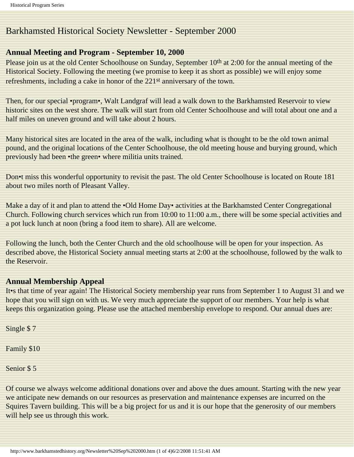# Barkhamsted Historical Society Newsletter - September 2000

### **Annual Meeting and Program - September 10, 2000**

Please join us at the old Center Schoolhouse on Sunday, September 10<sup>th</sup> at 2:00 for the annual meeting of the Historical Society. Following the meeting (we promise to keep it as short as possible) we will enjoy some refreshments, including a cake in honor of the 221st anniversary of the town.

Then, for our special •program•, Walt Landgraf will lead a walk down to the Barkhamsted Reservoir to view historic sites on the west shore. The walk will start from old Center Schoolhouse and will total about one and a half miles on uneven ground and will take about 2 hours.

Many historical sites are located in the area of the walk, including what is thought to be the old town animal pound, and the original locations of the Center Schoolhouse, the old meeting house and burying ground, which previously had been •the green• where militia units trained.

Don•t miss this wonderful opportunity to revisit the past. The old Center Schoolhouse is located on Route 181 about two miles north of Pleasant Valley.

Make a day of it and plan to attend the •Old Home Day• activities at the Barkhamsted Center Congregational Church. Following church services which run from 10:00 to 11:00 a.m., there will be some special activities and a pot luck lunch at noon (bring a food item to share). All are welcome.

Following the lunch, both the Center Church and the old schoolhouse will be open for your inspection. As described above, the Historical Society annual meeting starts at 2:00 at the schoolhouse, followed by the walk to the Reservoir.

# **Annual Membership Appeal**

It•s that time of year again! The Historical Society membership year runs from September 1 to August 31 and we hope that you will sign on with us. We very much appreciate the support of our members. Your help is what keeps this organization going. Please use the attached membership envelope to respond. Our annual dues are:

Single \$ 7

Family \$10

Senior \$ 5

Of course we always welcome additional donations over and above the dues amount. Starting with the new year we anticipate new demands on our resources as preservation and maintenance expenses are incurred on the Squires Tavern building. This will be a big project for us and it is our hope that the generosity of our members will help see us through this work.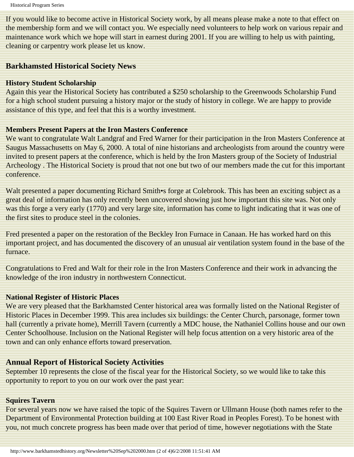If you would like to become active in Historical Society work, by all means please make a note to that effect on the membership form and we will contact you. We especially need volunteers to help work on various repair and maintenance work which we hope will start in earnest during 2001. If you are willing to help us with painting, cleaning or carpentry work please let us know.

# **Barkhamsted Historical Society News**

### **History Student Scholarship**

Again this year the Historical Society has contributed a \$250 scholarship to the Greenwoods Scholarship Fund for a high school student pursuing a history major or the study of history in college. We are happy to provide assistance of this type, and feel that this is a worthy investment.

# **Members Present Papers at the Iron Masters Conference**

We want to congratulate Walt Landgraf and Fred Warner for their participation in the Iron Masters Conference at Saugus Massachusetts on May 6, 2000. A total of nine historians and archeologists from around the country were invited to present papers at the conference, which is held by the Iron Masters group of the Society of Industrial Archeology . The Historical Society is proud that not one but two of our members made the cut for this important conference.

Walt presented a paper documenting Richard Smith•s forge at Colebrook. This has been an exciting subject as a great deal of information has only recently been uncovered showing just how important this site was. Not only was this forge a very early (1770) and very large site, information has come to light indicating that it was one of the first sites to produce steel in the colonies.

Fred presented a paper on the restoration of the Beckley Iron Furnace in Canaan. He has worked hard on this important project, and has documented the discovery of an unusual air ventilation system found in the base of the furnace.

Congratulations to Fred and Walt for their role in the Iron Masters Conference and their work in advancing the knowledge of the iron industry in northwestern Connecticut.

### **National Register of Historic Places**

We are very pleased that the Barkhamsted Center historical area was formally listed on the National Register of Historic Places in December 1999. This area includes six buildings: the Center Church, parsonage, former town hall (currently a private home), Merrill Tavern (currently a MDC house, the Nathaniel Collins house and our own Center Schoolhouse. Inclusion on the National Register will help focus attention on a very historic area of the town and can only enhance efforts toward preservation.

# **Annual Report of Historical Society Activities**

September 10 represents the close of the fiscal year for the Historical Society, so we would like to take this opportunity to report to you on our work over the past year:

### **Squires Tavern**

For several years now we have raised the topic of the Squires Tavern or Ullmann House (both names refer to the Department of Environmental Protection building at 100 East River Road in Peoples Forest). To be honest with you, not much concrete progress has been made over that period of time, however negotiations with the State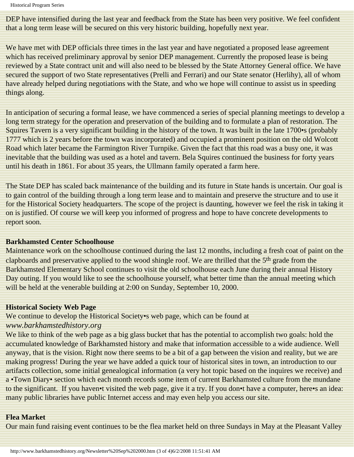Historical Program Series

DEP have intensified during the last year and feedback from the State has been very positive. We feel confident that a long term lease will be secured on this very historic building, hopefully next year.

We have met with DEP officials three times in the last year and have negotiated a proposed lease agreement which has received preliminary approval by senior DEP management. Currently the proposed lease is being reviewed by a State contract unit and will also need to be blessed by the State Attorney General office. We have secured the support of two State representatives (Prelli and Ferrari) and our State senator (Herlihy), all of whom have already helped during negotiations with the State, and who we hope will continue to assist us in speeding things along.

In anticipation of securing a formal lease, we have commenced a series of special planning meetings to develop a long term strategy for the operation and preservation of the building and to formulate a plan of restoration. The Squires Tavern is a very significant building in the history of the town. It was built in the late 1700•s (probably 1777 which is 2 years before the town was incorporated) and occupied a prominent position on the old Wolcott Road which later became the Farmington River Turnpike. Given the fact that this road was a busy one, it was inevitable that the building was used as a hotel and tavern. Bela Squires continued the business for forty years until his death in 1861. For about 35 years, the Ullmann family operated a farm here.

The State DEP has scaled back maintenance of the building and its future in State hands is uncertain. Our goal is to gain control of the building through a long term lease and to maintain and preserve the structure and to use it for the Historical Society headquarters. The scope of the project is daunting, however we feel the risk in taking it on is justified. Of course we will keep you informed of progress and hope to have concrete developments to report soon.

#### **Barkhamsted Center Schoolhouse**

Maintenance work on the schoolhouse continued during the last 12 months, including a fresh coat of paint on the clapboards and preservative applied to the wood shingle roof. We are thrilled that the 5<sup>th</sup> grade from the Barkhamsted Elementary School continues to visit the old schoolhouse each June during their annual History Day outing. If you would like to see the schoolhouse yourself, what better time than the annual meeting which will be held at the venerable building at 2:00 on Sunday, September 10, 2000.

### **Historical Society Web Page**

We continue to develop the Historical Society•s web page, which can be found at *www.barkhamstedhistory.org*

We like to think of the web page as a big glass bucket that has the potential to accomplish two goals: hold the accumulated knowledge of Barkhamsted history and make that information accessible to a wide audience. Well anyway, that is the vision. Right now there seems to be a bit of a gap between the vision and reality, but we are making progress! During the year we have added a quick tour of historical sites in town, an introduction to our artifacts collection, some initial genealogical information (a very hot topic based on the inquires we receive) and a •Town Diary• section which each month records some item of current Barkhamsted culture from the mundane to the significant. If you haven•t visited the web page, give it a try. If you don•t have a computer, here•s an idea: many public libraries have public Internet access and may even help you access our site.

### **Flea Market**

Our main fund raising event continues to be the flea market held on three Sundays in May at the Pleasant Valley